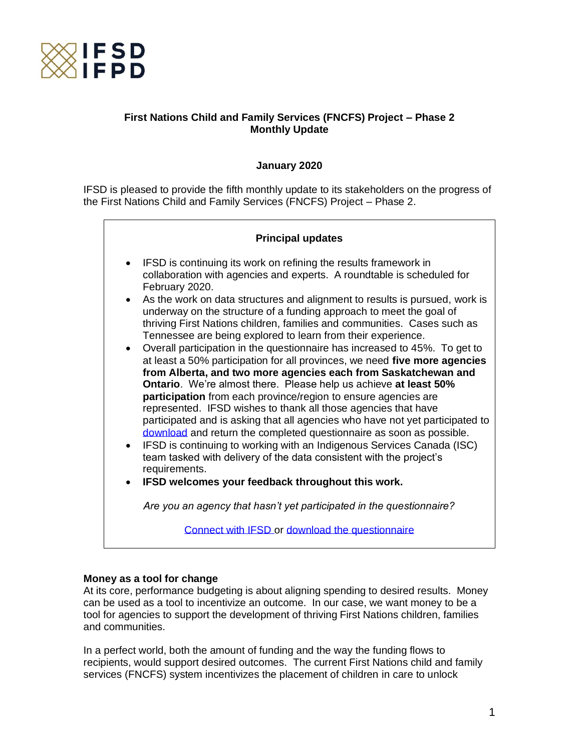

# **First Nations Child and Family Services (FNCFS) Project – Phase 2 Monthly Update**

### **January 2020**

IFSD is pleased to provide the fifth monthly update to its stakeholders on the progress of the First Nations Child and Family Services (FNCFS) Project – Phase 2.

| <b>Principal updates</b>                                                                                                                                                                                                                                                                                                                                                                                                                                                                                                                                                                                                                                                                                                                                                                                                                                                                                                                                                                                                                                                                                                                                                                                                                                         |
|------------------------------------------------------------------------------------------------------------------------------------------------------------------------------------------------------------------------------------------------------------------------------------------------------------------------------------------------------------------------------------------------------------------------------------------------------------------------------------------------------------------------------------------------------------------------------------------------------------------------------------------------------------------------------------------------------------------------------------------------------------------------------------------------------------------------------------------------------------------------------------------------------------------------------------------------------------------------------------------------------------------------------------------------------------------------------------------------------------------------------------------------------------------------------------------------------------------------------------------------------------------|
| IFSD is continuing its work on refining the results framework in<br>collaboration with agencies and experts. A roundtable is scheduled for<br>February 2020.<br>As the work on data structures and alignment to results is pursued, work is<br>$\bullet$<br>underway on the structure of a funding approach to meet the goal of<br>thriving First Nations children, families and communities. Cases such as<br>Tennessee are being explored to learn from their experience.<br>Overall participation in the questionnaire has increased to 45%. To get to<br>at least a 50% participation for all provinces, we need five more agencies<br>from Alberta, and two more agencies each from Saskatchewan and<br><b>Ontario.</b> We're almost there. Please help us achieve at least 50%<br>participation from each province/region to ensure agencies are<br>represented. IFSD wishes to thank all those agencies that have<br>participated and is asking that all agencies who have not yet participated to<br>download and return the completed questionnaire as soon as possible.<br>IFSD is continuing to working with an Indigenous Services Canada (ISC)<br>$\bullet$<br>team tasked with delivery of the data consistent with the project's<br>requirements. |
| Are you an agency that hasn't yet participated in the questionnaire?                                                                                                                                                                                                                                                                                                                                                                                                                                                                                                                                                                                                                                                                                                                                                                                                                                                                                                                                                                                                                                                                                                                                                                                             |
| IFSD welcomes your feedback throughout this work.                                                                                                                                                                                                                                                                                                                                                                                                                                                                                                                                                                                                                                                                                                                                                                                                                                                                                                                                                                                                                                                                                                                                                                                                                |
| Connect with IFSD or download the questionnaire                                                                                                                                                                                                                                                                                                                                                                                                                                                                                                                                                                                                                                                                                                                                                                                                                                                                                                                                                                                                                                                                                                                                                                                                                  |

#### **Money as a tool for change**

At its core, performance budgeting is about aligning spending to desired results. Money can be used as a tool to incentivize an outcome. In our case, we want money to be a tool for agencies to support the development of thriving First Nations children, families and communities.

In a perfect world, both the amount of funding and the way the funding flows to recipients, would support desired outcomes. The current First Nations child and family services (FNCFS) system incentivizes the placement of children in care to unlock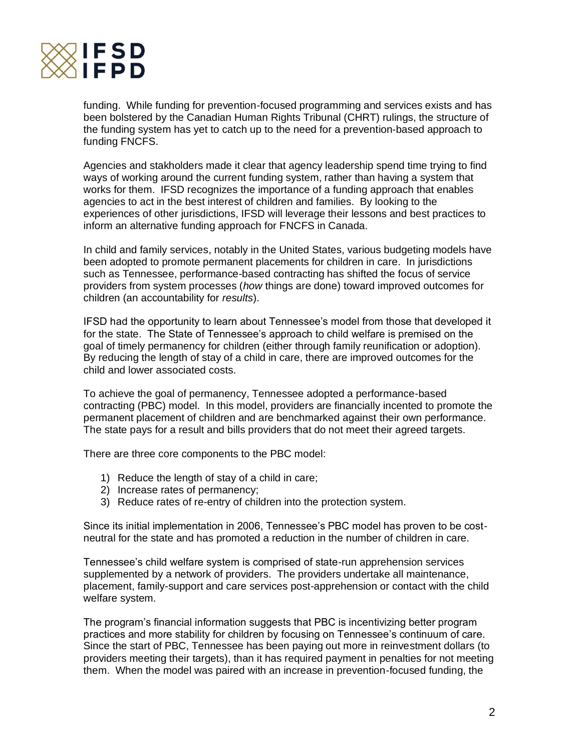

funding. While funding for prevention-focused programming and services exists and has been bolstered by the Canadian Human Rights Tribunal (CHRT) rulings, the structure of the funding system has yet to catch up to the need for a prevention-based approach to funding FNCFS.

Agencies and stakholders made it clear that agency leadership spend time trying to find ways of working around the current funding system, rather than having a system that works for them. IFSD recognizes the importance of a funding approach that enables agencies to act in the best interest of children and families. By looking to the experiences of other jurisdictions, IFSD will leverage their lessons and best practices to inform an alternative funding approach for FNCFS in Canada.

In child and family services, notably in the United States, various budgeting models have been adopted to promote permanent placements for children in care. In jurisdictions such as Tennessee, performance-based contracting has shifted the focus of service providers from system processes (*how* things are done) toward improved outcomes for children (an accountability for *results*).

IFSD had the opportunity to learn about Tennessee's model from those that developed it for the state. The State of Tennessee's approach to child welfare is premised on the goal of timely permanency for children (either through family reunification or adoption). By reducing the length of stay of a child in care, there are improved outcomes for the child and lower associated costs.

To achieve the goal of permanency, Tennessee adopted a performance-based contracting (PBC) model. In this model, providers are financially incented to promote the permanent placement of children and are benchmarked against their own performance. The state pays for a result and bills providers that do not meet their agreed targets.

There are three core components to the PBC model:

- 1) Reduce the length of stay of a child in care;
- 2) Increase rates of permanency;
- 3) Reduce rates of re-entry of children into the protection system.

Since its initial implementation in 2006, Tennessee's PBC model has proven to be costneutral for the state and has promoted a reduction in the number of children in care.

Tennessee's child welfare system is comprised of state-run apprehension services supplemented by a network of providers. The providers undertake all maintenance, placement, family-support and care services post-apprehension or contact with the child welfare system.

The program's financial information suggests that PBC is incentivizing better program practices and more stability for children by focusing on Tennessee's continuum of care. Since the start of PBC, Tennessee has been paying out more in reinvestment dollars (to providers meeting their targets), than it has required payment in penalties for not meeting them. When the model was paired with an increase in prevention-focused funding, the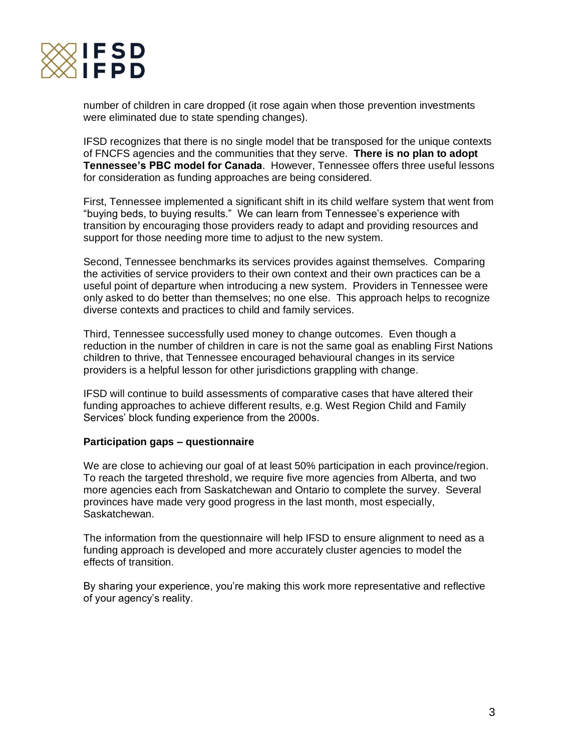

number of children in care dropped (it rose again when those prevention investments were eliminated due to state spending changes).

IFSD recognizes that there is no single model that be transposed for the unique contexts of FNCFS agencies and the communities that they serve. **There is no plan to adopt Tennessee's PBC model for Canada**. However, Tennessee offers three useful lessons for consideration as funding approaches are being considered.

First, Tennessee implemented a significant shift in its child welfare system that went from "buying beds, to buying results." We can learn from Tennessee's experience with transition by encouraging those providers ready to adapt and providing resources and support for those needing more time to adjust to the new system.

Second, Tennessee benchmarks its services provides against themselves. Comparing the activities of service providers to their own context and their own practices can be a useful point of departure when introducing a new system. Providers in Tennessee were only asked to do better than themselves; no one else. This approach helps to recognize diverse contexts and practices to child and family services.

Third, Tennessee successfully used money to change outcomes. Even though a reduction in the number of children in care is not the same goal as enabling First Nations children to thrive, that Tennessee encouraged behavioural changes in its service providers is a helpful lesson for other jurisdictions grappling with change.

IFSD will continue to build assessments of comparative cases that have altered their funding approaches to achieve different results, e.g. West Region Child and Family Services' block funding experience from the 2000s.

#### **Participation gaps – questionnaire**

We are close to achieving our goal of at least 50% participation in each province/region. To reach the targeted threshold, we require five more agencies from Alberta, and two more agencies each from Saskatchewan and Ontario to complete the survey. Several provinces have made very good progress in the last month, most especially, Saskatchewan.

The information from the questionnaire will help IFSD to ensure alignment to need as a funding approach is developed and more accurately cluster agencies to model the effects of transition.

By sharing your experience, you're making this work more representative and reflective of your agency's reality.